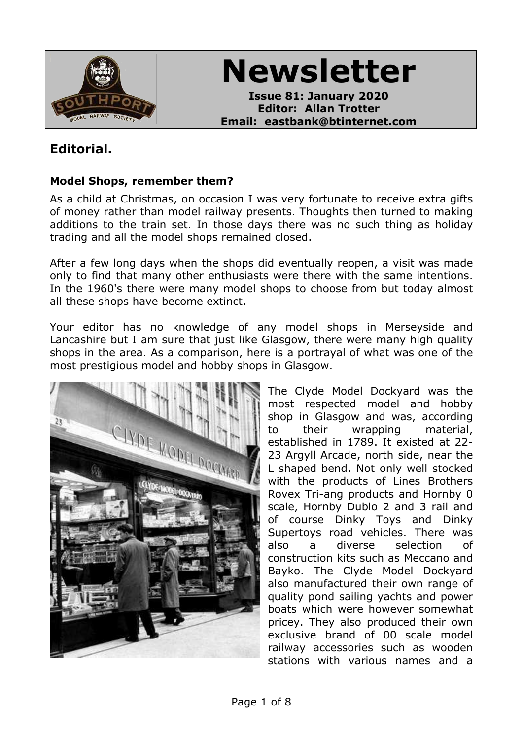

**Newsletter**

**Issue 81: January 2020 Editor: Allan Trotter Email: eastbank@btinternet.com**

# **Editorial.**

### **Model Shops, remember them?**

As a child at Christmas, on occasion I was very fortunate to receive extra gifts of money rather than model railway presents. Thoughts then turned to making additions to the train set. In those days there was no such thing as holiday trading and all the model shops remained closed.

After a few long days when the shops did eventually reopen, a visit was made only to find that many other enthusiasts were there with the same intentions. In the 1960's there were many model shops to choose from but today almost all these shops have become extinct.

Your editor has no knowledge of any model shops in Merseyside and Lancashire but I am sure that just like Glasgow, there were many high quality shops in the area. As a comparison, here is a portrayal of what was one of the most prestigious model and hobby shops in Glasgow.



The Clyde Model Dockyard was the most respected model and hobby shop in Glasgow and was, according to their wrapping material, established in 1789. It existed at 22- 23 Argyll Arcade, north side, near the L shaped bend. Not only well stocked with the products of Lines Brothers Rovex Tri-ang products and Hornby 0 scale, Hornby Dublo 2 and 3 rail and of course Dinky Toys and Dinky Supertoys road vehicles. There was also a diverse selection of construction kits such as Meccano and Bayko. The Clyde Model Dockyard also manufactured their own range of quality pond sailing yachts and power boats which were however somewhat pricey. They also produced their own exclusive brand of 00 scale model railway accessories such as wooden stations with various names and a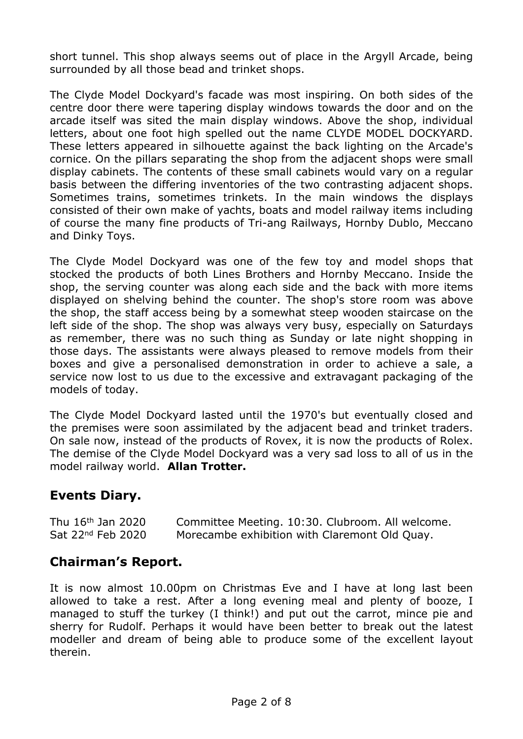short tunnel. This shop always seems out of place in the Argyll Arcade, being surrounded by all those bead and trinket shops.

The Clyde Model Dockyard's facade was most inspiring. On both sides of the centre door there were tapering display windows towards the door and on the arcade itself was sited the main display windows. Above the shop, individual letters, about one foot high spelled out the name CLYDE MODEL DOCKYARD. These letters appeared in silhouette against the back lighting on the Arcade's cornice. On the pillars separating the shop from the adjacent shops were small display cabinets. The contents of these small cabinets would vary on a regular basis between the differing inventories of the two contrasting adjacent shops. Sometimes trains, sometimes trinkets. In the main windows the displays consisted of their own make of yachts, boats and model railway items including of course the many fine products of Tri-ang Railways, Hornby Dublo, Meccano and Dinky Toys.

The Clyde Model Dockyard was one of the few toy and model shops that stocked the products of both Lines Brothers and Hornby Meccano. Inside the shop, the serving counter was along each side and the back with more items displayed on shelving behind the counter. The shop's store room was above the shop, the staff access being by a somewhat steep wooden staircase on the left side of the shop. The shop was always very busy, especially on Saturdays as remember, there was no such thing as Sunday or late night shopping in those days. The assistants were always pleased to remove models from their boxes and give a personalised demonstration in order to achieve a sale, a service now lost to us due to the excessive and extravagant packaging of the models of today.

The Clyde Model Dockyard lasted until the 1970's but eventually closed and the premises were soon assimilated by the adjacent bead and trinket traders. On sale now, instead of the products of Rovex, it is now the products of Rolex. The demise of the Clyde Model Dockyard was a very sad loss to all of us in the model railway world. **Allan Trotter.**

## **Events Diary.**

Thu 16th Jan 2020 Committee Meeting. 10:30. Clubroom. All welcome. Sat 22<sup>nd</sup> Feb 2020 Morecambe exhibition with Claremont Old Quay.

## **Chairman's Report.**

It is now almost 10.00pm on Christmas Eve and I have at long last been allowed to take a rest. After a long evening meal and plenty of booze, I managed to stuff the turkey (I think!) and put out the carrot, mince pie and sherry for Rudolf. Perhaps it would have been better to break out the latest modeller and dream of being able to produce some of the excellent layout therein.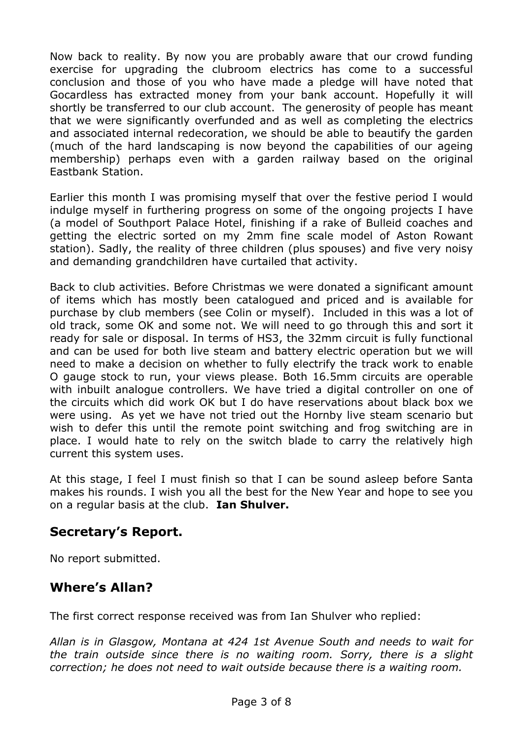Now back to reality. By now you are probably aware that our crowd funding exercise for upgrading the clubroom electrics has come to a successful conclusion and those of you who have made a pledge will have noted that Gocardless has extracted money from your bank account. Hopefully it will shortly be transferred to our club account. The generosity of people has meant that we were significantly overfunded and as well as completing the electrics and associated internal redecoration, we should be able to beautify the garden (much of the hard landscaping is now beyond the capabilities of our ageing membership) perhaps even with a garden railway based on the original Eastbank Station.

Earlier this month I was promising myself that over the festive period I would indulge myself in furthering progress on some of the ongoing projects I have (a model of Southport Palace Hotel, finishing if a rake of Bulleid coaches and getting the electric sorted on my 2mm fine scale model of Aston Rowant station). Sadly, the reality of three children (plus spouses) and five very noisy and demanding grandchildren have curtailed that activity.

Back to club activities. Before Christmas we were donated a significant amount of items which has mostly been catalogued and priced and is available for purchase by club members (see Colin or myself). Included in this was a lot of old track, some OK and some not. We will need to go through this and sort it ready for sale or disposal. In terms of HS3, the 32mm circuit is fully functional and can be used for both live steam and battery electric operation but we will need to make a decision on whether to fully electrify the track work to enable O gauge stock to run, your views please. Both 16.5mm circuits are operable with inbuilt analogue controllers. We have tried a digital controller on one of the circuits which did work OK but I do have reservations about black box we were using. As yet we have not tried out the Hornby live steam scenario but wish to defer this until the remote point switching and frog switching are in place. I would hate to rely on the switch blade to carry the relatively high current this system uses.

At this stage, I feel I must finish so that I can be sound asleep before Santa makes his rounds. I wish you all the best for the New Year and hope to see you on a regular basis at the club. **Ian Shulver.**

## **Secretary's Report.**

No report submitted.

# **Where's Allan?**

The first correct response received was from Ian Shulver who replied:

*Allan is in Glasgow, Montana at 424 1st Avenue South and needs to wait for the train outside since there is no waiting room. Sorry, there is a slight correction; he does not need to wait outside because there is a waiting room.*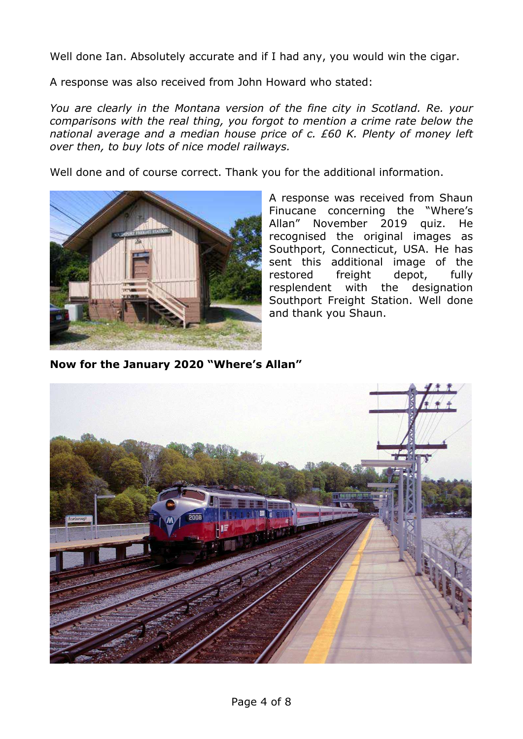Well done Ian. Absolutely accurate and if I had any, you would win the cigar.

A response was also received from John Howard who stated:

*You are clearly in the Montana version of the fine city in Scotland. Re. your comparisons with the real thing, you forgot to mention a crime rate below the national average and a median house price of c. £60 K. Plenty of money left over then, to buy lots of nice model railways.*

Well done and of course correct. Thank you for the additional information.



A response was received from Shaun Finucane concerning the "Where's Allan" November 2019 quiz. He recognised the original images as Southport, Connecticut, USA. He has sent this additional image of the restored freight depot, fully resplendent with the designation Southport Freight Station. Well done and thank you Shaun.

**Now for the January 2020 "Where's Allan"**

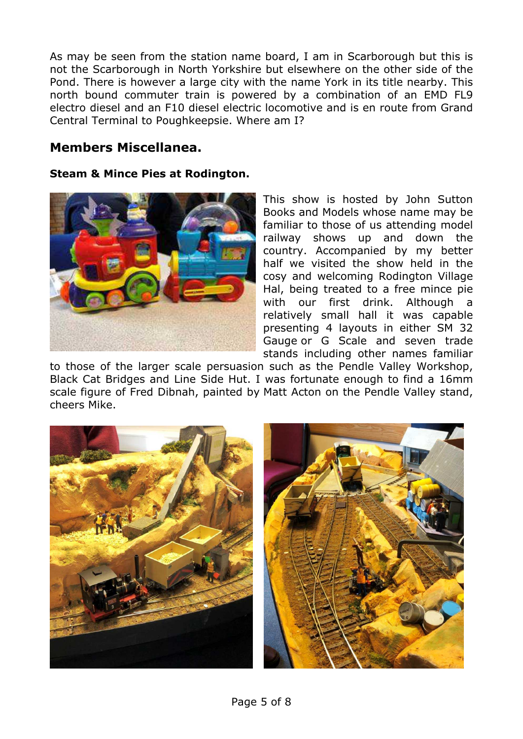As may be seen from the station name board, I am in Scarborough but this is not the Scarborough in North Yorkshire but elsewhere on the other side of the Pond. There is however a large city with the name York in its title nearby. This north bound commuter train is powered by a combination of an EMD FL9 electro diesel and an F10 diesel electric locomotive and is en route from Grand Central Terminal to Poughkeepsie. Where am I?

## **Members Miscellanea.**

#### **Steam & Mince Pies at Rodington.**



This show is hosted by John Sutton Books and Models whose name may be familiar to those of us attending model railway shows up and down the country. Accompanied by my better half we visited the show held in the cosy and welcoming Rodington Village Hal, being treated to a free mince pie with our first drink. Although a relatively small hall it was capable presenting 4 layouts in either SM 32 Gauge or G Scale and seven trade stands including other names familiar

to those of the larger scale persuasion such as the Pendle Valley Workshop, Black Cat Bridges and Line Side Hut. I was fortunate enough to find a 16mm scale figure of Fred Dibnah, painted by Matt Acton on the Pendle Valley stand, cheers Mike.

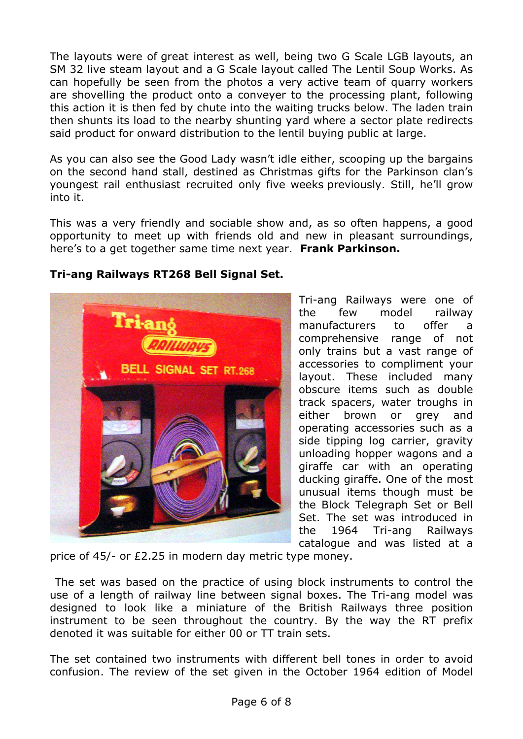The layouts were of great interest as well, being two G Scale LGB layouts, an SM 32 live steam layout and a G Scale layout called The Lentil Soup Works. As can hopefully be seen from the photos a very active team of quarry workers are shovelling the product onto a conveyer to the processing plant, following this action it is then fed by chute into the waiting trucks below. The laden train then shunts its load to the nearby shunting yard where a sector plate redirects said product for onward distribution to the lentil buying public at large.

As you can also see the Good Lady wasn't idle either, scooping up the bargains on the second hand stall, destined as Christmas gifts for the Parkinson clan's youngest rail enthusiast recruited only five weeks previously. Still, he'll grow into it.

This was a very friendly and sociable show and, as so often happens, a good opportunity to meet up with friends old and new in pleasant surroundings, here's to a get together same time next year. **Frank Parkinson.**

### **Tri-ang Railways RT268 Bell Signal Set.**



Tri-ang Railways were one of the few model railway manufacturers to offer a comprehensive range of not only trains but a vast range of accessories to compliment your layout. These included many obscure items such as double track spacers, water troughs in either brown or grey and operating accessories such as a side tipping log carrier, gravity unloading hopper wagons and a giraffe car with an operating ducking giraffe. One of the most unusual items though must be the Block Telegraph Set or Bell Set. The set was introduced in the 1964 Tri-ang Railways catalogue and was listed at a

price of 45/- or £2.25 in modern day metric type money.

The set was based on the practice of using block instruments to control the use of a length of railway line between signal boxes. The Tri-ang model was designed to look like a miniature of the British Railways three position instrument to be seen throughout the country. By the way the RT prefix denoted it was suitable for either 00 or TT train sets.

The set contained two instruments with different bell tones in order to avoid confusion. The review of the set given in the October 1964 edition of Model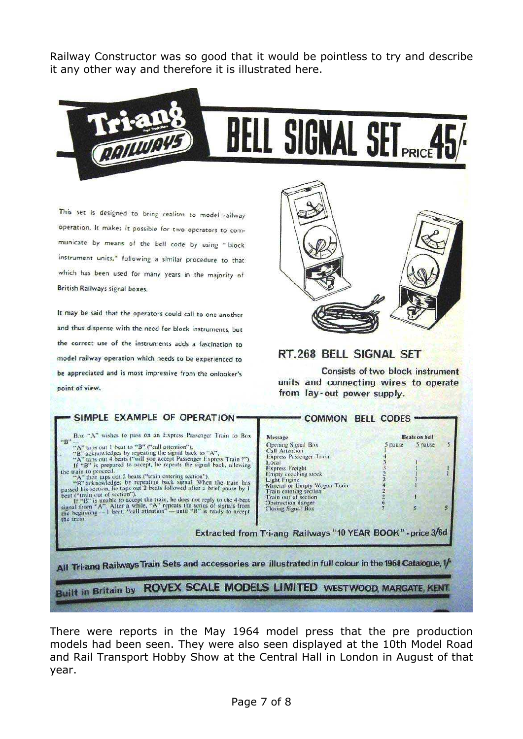Railway Constructor was so good that it would be pointless to try and describe it any other way and therefore it is illustrated here.



This set is designed to bring realism to model railway operation. It makes it possible for two operators to communicate by means of the bell code by using "block instrument units," following a similar procedure to that which has been used for many years in the majority of British Railways signal boxes.

It may be said that the operators could call to one another and thus dispense with the need for block instruments, but the correct use of the instruments adds a fascination to model railway operation which needs to be experienced to be appreciated and is most impressive from the onlooker's point of view.



#### RT.268 BELL SIGNAL SET

**Consists of two block instrument** units and connecting wires to operate from lay-out power supply.

| Box "A" wishes to pass on an Express Passenger Train to Box<br>"B"<br>"A" tups out 1 beat to "B" ("call attention"),<br>"B" acknowledges by repeating the signal back to "A",<br>"A" taps out 4 beats ("will you accept Passenger Express Train ?").<br>If "B" is prepared to accept, he repeats the signal back, allowing<br>the train to proceed.<br>"A" then taps out 2 beats ("train entering section").<br>"B" acknowledges by repeating back signal. When the train has passed his section, he taps out 2 beats followed after a brief pause by 1<br>beat ("train out of section").<br>If "B" is unable to accept the train, he does not reply to the 4-beat<br>signal from "A". After a while, "A" repeats the series of signals from<br>the beginning $-1$ beat, "call attention" — until "B" is ready to accept<br>the train. | Message<br>Opening Signal Box<br>Call Attention<br>Express Pussenger Train<br>Local<br><b>Express Freight</b><br>Empty coaching stock<br>Light I nume<br>Mineral or Empty Wagon Train<br>Train entering section<br>Train out of section<br>Obstruction danger<br>Closing Signal Box | S pause | <b>Beats on bell</b><br>s<br>5 pause<br>s<br>R. |
|----------------------------------------------------------------------------------------------------------------------------------------------------------------------------------------------------------------------------------------------------------------------------------------------------------------------------------------------------------------------------------------------------------------------------------------------------------------------------------------------------------------------------------------------------------------------------------------------------------------------------------------------------------------------------------------------------------------------------------------------------------------------------------------------------------------------------------------|-------------------------------------------------------------------------------------------------------------------------------------------------------------------------------------------------------------------------------------------------------------------------------------|---------|-------------------------------------------------|
| All Tri-ang Railways Train Sets and accessories are illustrated in full colour in the 1964 Catalogue, 1/-<br><b>Built in Britain by ROVEX SCALE MODELS LIMITED WESTWOOD, MARGATE, KENT.</b>                                                                                                                                                                                                                                                                                                                                                                                                                                                                                                                                                                                                                                            | Extracted from Tri-ang Railways "10 YEAR BOOK" - price 3/6d                                                                                                                                                                                                                         |         |                                                 |

There were reports in the May 1964 model press that the pre production models had been seen. They were also seen displayed at the 10th Model Road and Rail Transport Hobby Show at the Central Hall in London in August of that year.